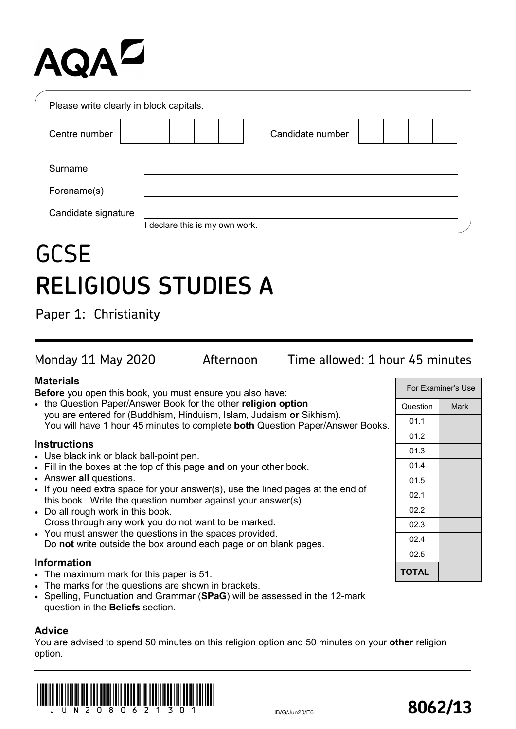# **AQAL**

| Please write clearly in block capitals. |                              |
|-----------------------------------------|------------------------------|
| Centre number                           | Candidate number             |
| Surname                                 |                              |
| Forename(s)                             |                              |
| Candidate signature                     | declare this is my own work. |
|                                         |                              |

# GCSE **RELIGIOUS STUDIES A**

Paper 1: Christianity

Monday 11 May 2020 Afternoon Time allowed: 1 hour 45 minutes

## **Materials**

**Before** you open this book, you must ensure you also have:

• the Question Paper/Answer Book for the other **religion option** you are entered for (Buddhism, Hinduism, Islam, Judaism **or** Sikhism). You will have 1 hour 45 minutes to complete **both** Question Paper/Answer Books.

#### **Instructions**

- Use black ink or black ball-point pen.
- Fill in the boxes at the top of this page **and** on your other book.
- Answer **all** questions.
- If you need extra space for your answer(s), use the lined pages at the end of this book. Write the question number against your answer(s).
- Do all rough work in this book. Cross through any work you do not want to be marked.
- You must answer the questions in the spaces provided.

Do **not** write outside the box around each page or on blank pages.

#### **Information**

- The maximum mark for this paper is 51.
- The marks for the questions are shown in brackets.
- Spelling, Punctuation and Grammar (**SPaG**) will be assessed in the 12-mark question in the **Beliefs** section.

## **Advice**

You are advised to spend 50 minutes on this religion option and 50 minutes on your **other** religion option.



| For Examiner's Use |      |  |  |
|--------------------|------|--|--|
| Question           | Mark |  |  |
| 01.1               |      |  |  |
| 01.2               |      |  |  |
| 01.3               |      |  |  |
| 01.4               |      |  |  |
| 01.5               |      |  |  |
| 02.1               |      |  |  |
| 02.2               |      |  |  |
| 02.3               |      |  |  |
| 02.4               |      |  |  |
| 02.5               |      |  |  |
| TOTAL              |      |  |  |

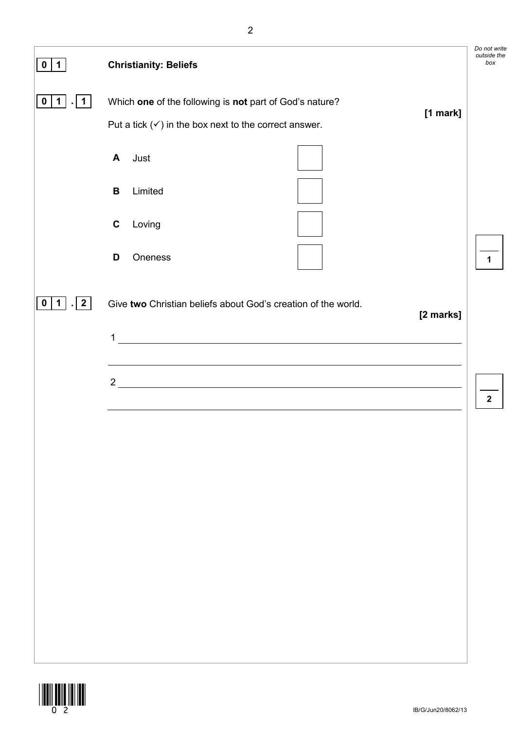| 0 1                                           | <b>Christianity: Beliefs</b>                                                                                                            | Do not write<br>outside the<br>box |
|-----------------------------------------------|-----------------------------------------------------------------------------------------------------------------------------------------|------------------------------------|
| $\mathbf{0}$<br>$1 \mid$<br>$\vert$ 1 $\vert$ | Which one of the following is not part of God's nature?<br>[1 mark]<br>Put a tick $(\checkmark)$ in the box next to the correct answer. |                                    |
|                                               | Just<br>A<br>Limited<br>B<br>$\mathbf C$<br>Loving<br>D<br>Oneness                                                                      | $\mathbf 1$                        |
| $\vert$ 2<br>$0 \mid 1 \mid$                  | Give two Christian beliefs about God's creation of the world.<br>[2 marks]<br>1                                                         |                                    |
|                                               | $2\overline{\phantom{a}}$                                                                                                               | $\mathbf{2}$                       |
|                                               |                                                                                                                                         |                                    |
|                                               |                                                                                                                                         |                                    |

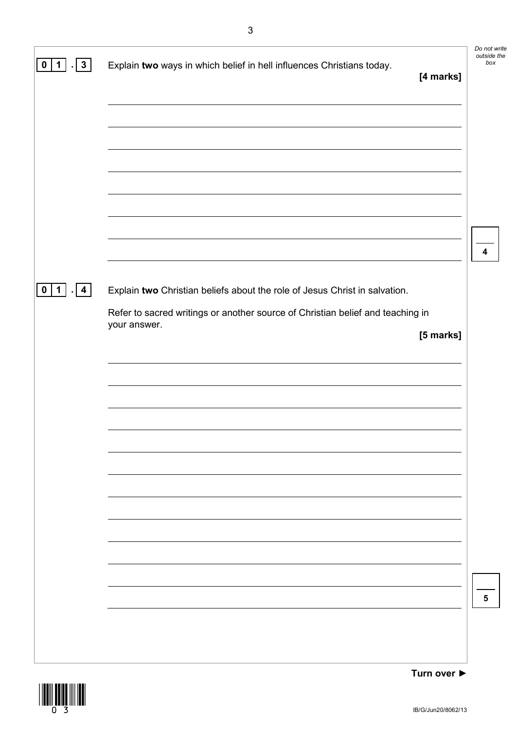|                                                                                                                                                                                       | [4 marks] |
|---------------------------------------------------------------------------------------------------------------------------------------------------------------------------------------|-----------|
|                                                                                                                                                                                       |           |
|                                                                                                                                                                                       |           |
| Explain two Christian beliefs about the role of Jesus Christ in salvation.<br>$\mathbf 0$<br>4<br>1<br>Refer to sacred writings or another source of Christian belief and teaching in | 4         |
| your answer.<br>[5 marks]                                                                                                                                                             |           |
|                                                                                                                                                                                       |           |
|                                                                                                                                                                                       |           |
|                                                                                                                                                                                       |           |
|                                                                                                                                                                                       | 5         |



3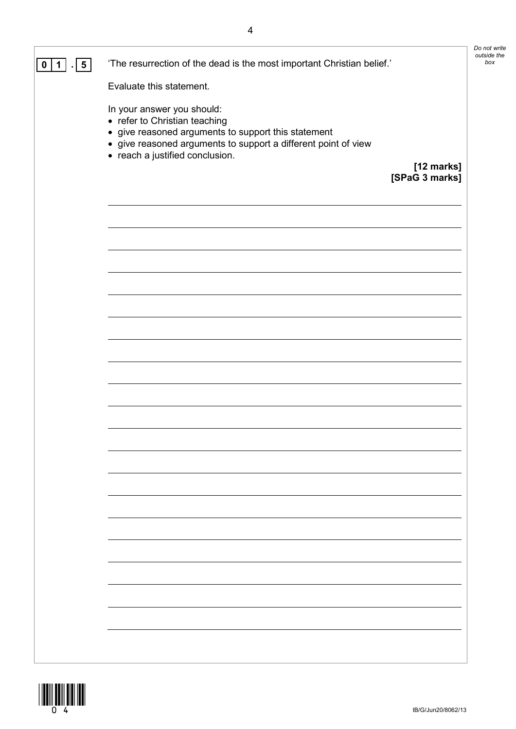| $5\phantom{1}$<br>0<br>1 | 'The resurrection of the dead is the most important Christian belief.'                                                                                                               |                |
|--------------------------|--------------------------------------------------------------------------------------------------------------------------------------------------------------------------------------|----------------|
|                          | Evaluate this statement.                                                                                                                                                             |                |
|                          | In your answer you should:<br>• refer to Christian teaching<br>• give reasoned arguments to support this statement<br>• give reasoned arguments to support a different point of view |                |
|                          | • reach a justified conclusion.                                                                                                                                                      | [12 marks]     |
|                          |                                                                                                                                                                                      | [SPaG 3 marks] |
|                          |                                                                                                                                                                                      |                |
|                          |                                                                                                                                                                                      |                |
|                          |                                                                                                                                                                                      |                |
|                          |                                                                                                                                                                                      |                |
|                          |                                                                                                                                                                                      |                |
|                          |                                                                                                                                                                                      |                |
|                          |                                                                                                                                                                                      |                |
|                          |                                                                                                                                                                                      |                |
|                          |                                                                                                                                                                                      |                |
|                          |                                                                                                                                                                                      |                |
|                          |                                                                                                                                                                                      |                |
|                          |                                                                                                                                                                                      |                |
|                          |                                                                                                                                                                                      |                |
|                          |                                                                                                                                                                                      |                |
|                          |                                                                                                                                                                                      |                |
|                          |                                                                                                                                                                                      |                |
|                          |                                                                                                                                                                                      |                |
|                          |                                                                                                                                                                                      |                |
|                          |                                                                                                                                                                                      |                |
|                          |                                                                                                                                                                                      |                |
|                          |                                                                                                                                                                                      |                |
|                          |                                                                                                                                                                                      |                |
|                          |                                                                                                                                                                                      |                |
|                          |                                                                                                                                                                                      |                |
|                          |                                                                                                                                                                                      |                |
|                          |                                                                                                                                                                                      |                |

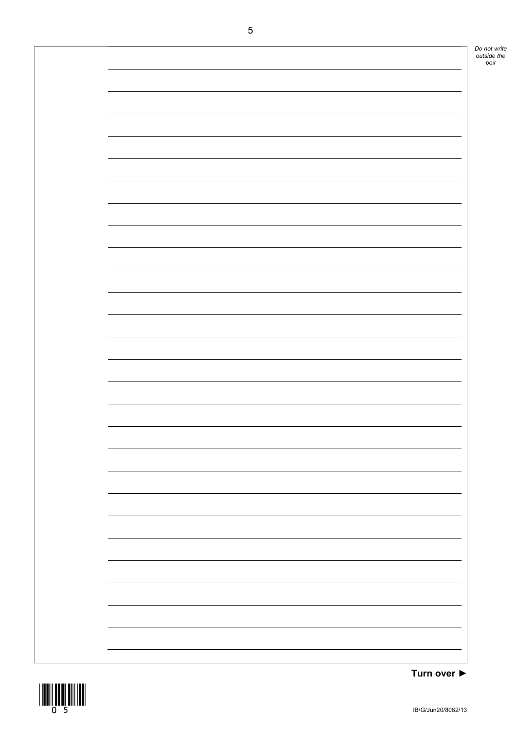*Do not write outside the box*

 $\begin{array}{c} \begin{array}{c} \begin{array}{c} \text{||} \\ \text{||} \end{array} \\ \text{||} \end{array} \\ \begin{array}{c} \begin{array}{c} \text{||} \\ \text{||} \end{array} \\ \text{||} \end{array} \end{array}$ 

**Turn over ►**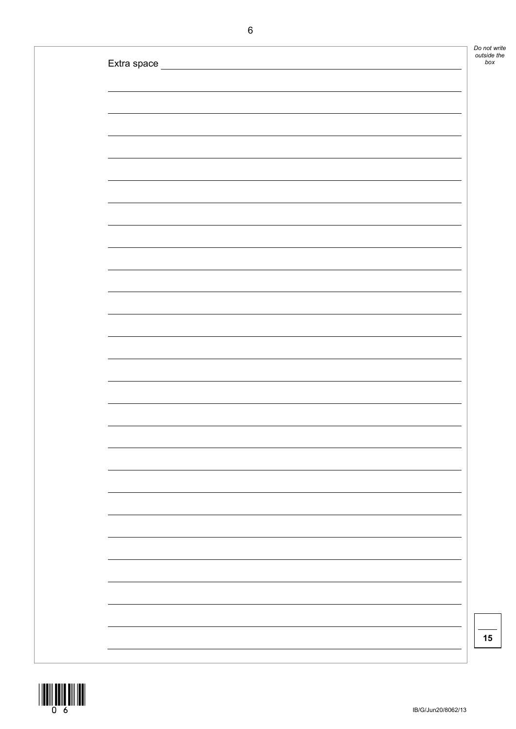|  | Do not write<br>outside the<br>box |
|--|------------------------------------|
|  |                                    |
|  |                                    |
|  |                                    |
|  |                                    |
|  |                                    |
|  |                                    |
|  |                                    |
|  |                                    |
|  |                                    |
|  |                                    |
|  |                                    |
|  |                                    |
|  |                                    |
|  |                                    |
|  |                                    |
|  |                                    |
|  |                                    |
|  |                                    |
|  |                                    |
|  |                                    |
|  |                                    |
|  |                                    |
|  |                                    |
|  |                                    |
|  |                                    |
|  | 15                                 |

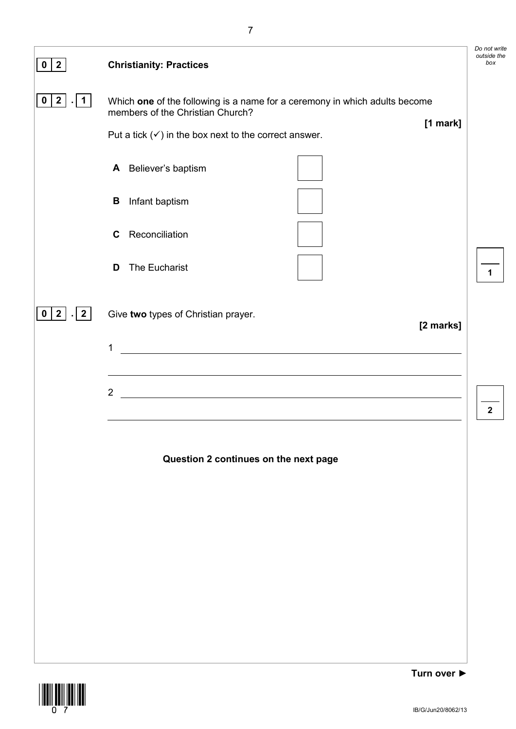| $0 \mid 2 \mid$                            | <b>Christianity: Practices</b>                                                                                                                                                                 | Do not write<br>outside the<br>box |
|--------------------------------------------|------------------------------------------------------------------------------------------------------------------------------------------------------------------------------------------------|------------------------------------|
| $\vert$ 2<br>$\mathbf 0$<br>$\mathbf 1$    | Which one of the following is a name for a ceremony in which adults become<br>members of the Christian Church?<br>[1 mark]<br>Put a tick $(\checkmark)$ in the box next to the correct answer. |                                    |
|                                            | A Believer's baptism                                                                                                                                                                           |                                    |
|                                            | В<br>Infant baptism                                                                                                                                                                            |                                    |
|                                            | Reconciliation<br>C                                                                                                                                                                            |                                    |
|                                            | The Eucharist<br>D                                                                                                                                                                             | 1                                  |
| $\vert$ 2<br>$\overline{2}$<br>$\mathbf 0$ | Give two types of Christian prayer.<br>[2 marks]                                                                                                                                               |                                    |
|                                            | <u> 1989 - Johann Barn, fransk politik (d. 1989)</u><br>1<br><u> 1989 - Johann Stoff, deutscher Stoffen und der Stoffen und der Stoffen und der Stoffen und der Stoffen und der</u>            |                                    |
|                                            | <u> 1989 - Johann Stoff, deutscher Stoffen und der Stoffen und der Stoffen und der Stoffen und der Stoffen und der</u><br>$\overline{2}$                                                       | $\mathbf{2}$                       |
|                                            | Question 2 continues on the next page                                                                                                                                                          |                                    |
|                                            |                                                                                                                                                                                                |                                    |
|                                            |                                                                                                                                                                                                |                                    |
|                                            |                                                                                                                                                                                                |                                    |
|                                            |                                                                                                                                                                                                |                                    |

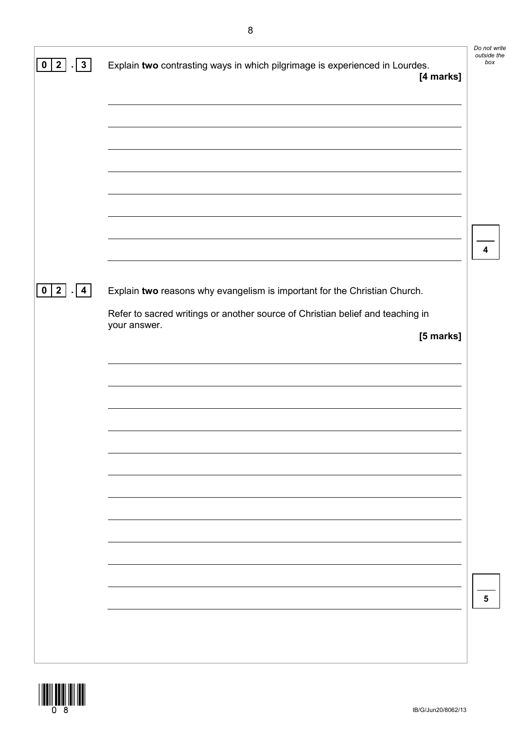| $\mathbf{3}$<br>0<br>$\mathbf{2}$ | Explain two contrasting ways in which pilgrimage is experienced in Lourdes.<br>[4 marks]                                                                                                 | Do not write<br>outside the<br>box |
|-----------------------------------|------------------------------------------------------------------------------------------------------------------------------------------------------------------------------------------|------------------------------------|
|                                   |                                                                                                                                                                                          |                                    |
|                                   |                                                                                                                                                                                          |                                    |
|                                   |                                                                                                                                                                                          | 4                                  |
| 2 <br>$\mathbf 0$                 | Explain two reasons why evangelism is important for the Christian Church.<br>Refer to sacred writings or another source of Christian belief and teaching in<br>your answer.<br>[5 marks] |                                    |
|                                   |                                                                                                                                                                                          |                                    |
|                                   |                                                                                                                                                                                          |                                    |
|                                   |                                                                                                                                                                                          |                                    |
|                                   |                                                                                                                                                                                          |                                    |
|                                   |                                                                                                                                                                                          | 5                                  |
|                                   |                                                                                                                                                                                          |                                    |

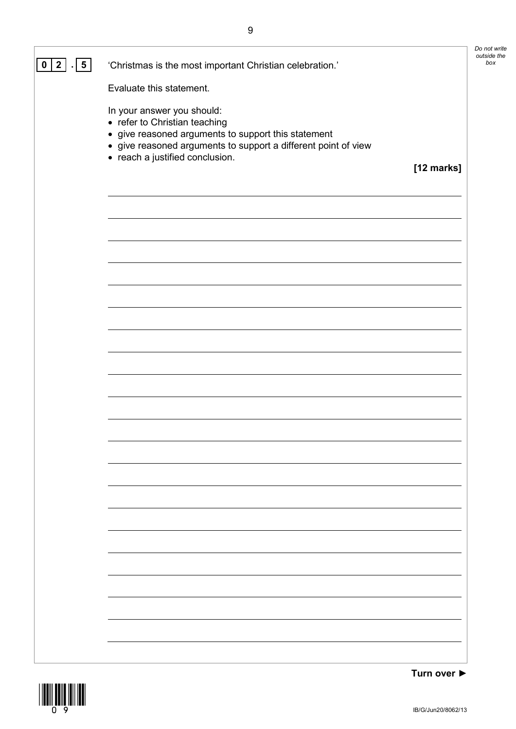| $\cdot$ 5<br>$\pmb{0}$<br>2 | 'Christmas is the most important Christian celebration.'                             |            |
|-----------------------------|--------------------------------------------------------------------------------------|------------|
|                             | Evaluate this statement.                                                             |            |
|                             | In your answer you should:                                                           |            |
|                             | • refer to Christian teaching<br>• give reasoned arguments to support this statement |            |
|                             | • give reasoned arguments to support a different point of view                       |            |
|                             | • reach a justified conclusion.                                                      | [12 marks] |
|                             |                                                                                      |            |
|                             |                                                                                      |            |
|                             |                                                                                      |            |
|                             |                                                                                      |            |
|                             |                                                                                      |            |
|                             |                                                                                      |            |
|                             |                                                                                      |            |
|                             |                                                                                      |            |
|                             |                                                                                      |            |
|                             |                                                                                      |            |
|                             |                                                                                      |            |
|                             |                                                                                      |            |
|                             |                                                                                      |            |
|                             |                                                                                      |            |
|                             |                                                                                      |            |
|                             |                                                                                      |            |
|                             |                                                                                      |            |
|                             |                                                                                      |            |
|                             |                                                                                      |            |
|                             |                                                                                      |            |
|                             |                                                                                      |            |
|                             |                                                                                      |            |
|                             |                                                                                      |            |
|                             |                                                                                      |            |
|                             |                                                                                      |            |
|                             |                                                                                      |            |
|                             |                                                                                      |            |
|                             |                                                                                      |            |



**Turn over ►**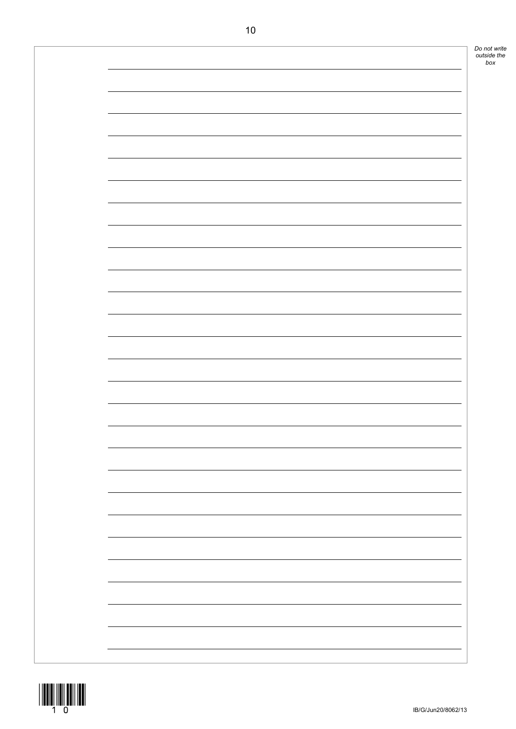



*box*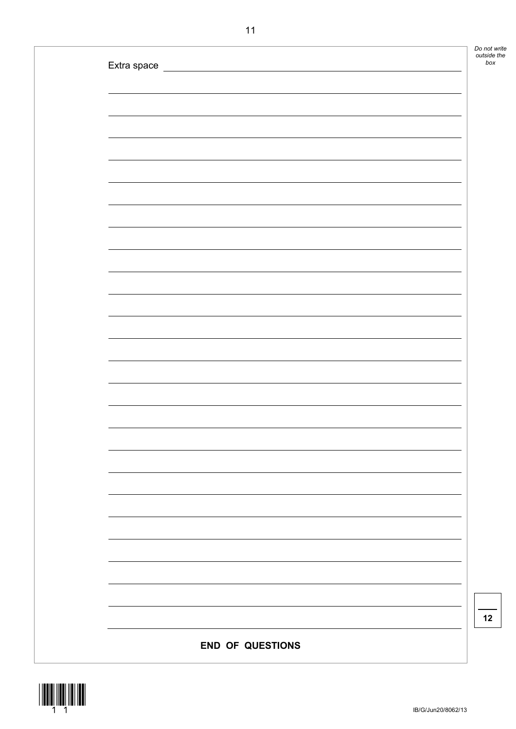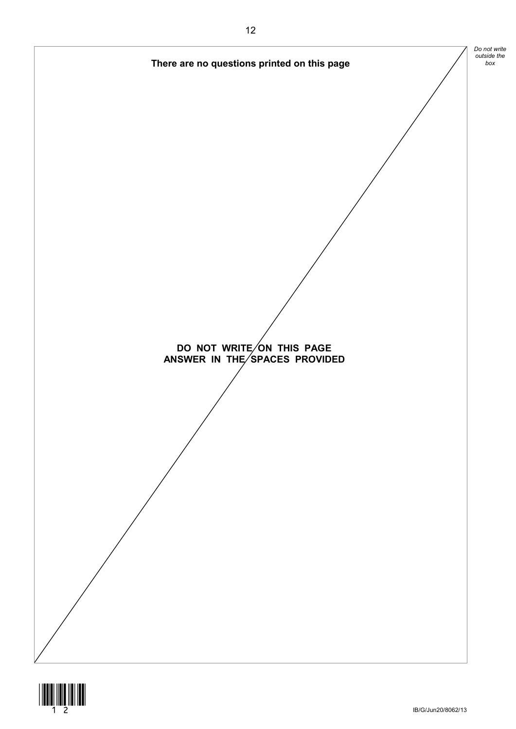

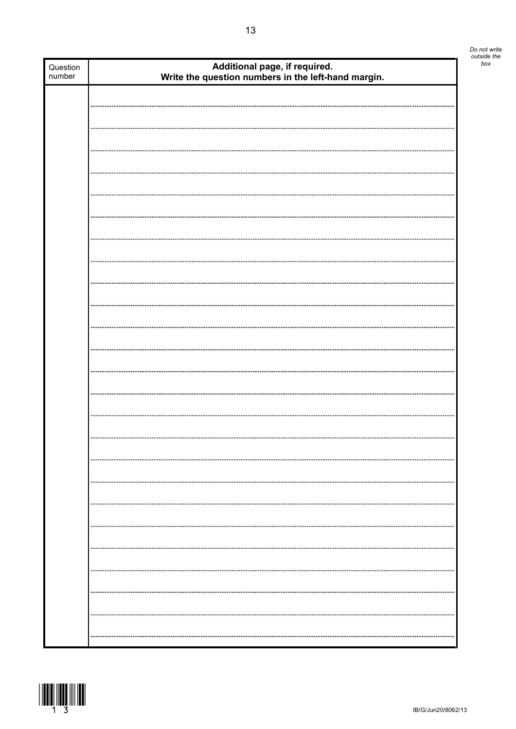|                    | Do not write<br>outside the |
|--------------------|-----------------------------|
|                    | box                         |
| <b>ind margin.</b> |                             |
|                    |                             |
|                    |                             |
|                    |                             |
|                    |                             |
|                    |                             |
|                    |                             |
|                    |                             |

| Question |                                                                                      |
|----------|--------------------------------------------------------------------------------------|
| number   | Additional page, if required.<br>Write the question numbers in the left-hand margin. |
|          |                                                                                      |
|          |                                                                                      |
|          |                                                                                      |
|          |                                                                                      |
|          |                                                                                      |
|          |                                                                                      |
|          |                                                                                      |
|          |                                                                                      |
|          |                                                                                      |
|          |                                                                                      |
|          |                                                                                      |
|          |                                                                                      |
|          |                                                                                      |
|          |                                                                                      |
|          |                                                                                      |
|          |                                                                                      |
|          |                                                                                      |
|          |                                                                                      |
|          |                                                                                      |
|          |                                                                                      |
|          |                                                                                      |
|          |                                                                                      |
|          |                                                                                      |
|          |                                                                                      |
|          |                                                                                      |
|          |                                                                                      |
|          |                                                                                      |
|          |                                                                                      |
|          |                                                                                      |
|          |                                                                                      |
|          |                                                                                      |
|          |                                                                                      |
|          |                                                                                      |
|          |                                                                                      |
|          |                                                                                      |
|          |                                                                                      |
|          |                                                                                      |
|          |                                                                                      |
|          |                                                                                      |
|          |                                                                                      |
|          |                                                                                      |
|          |                                                                                      |
|          |                                                                                      |
|          |                                                                                      |
|          |                                                                                      |
|          |                                                                                      |
|          |                                                                                      |
|          |                                                                                      |
|          |                                                                                      |

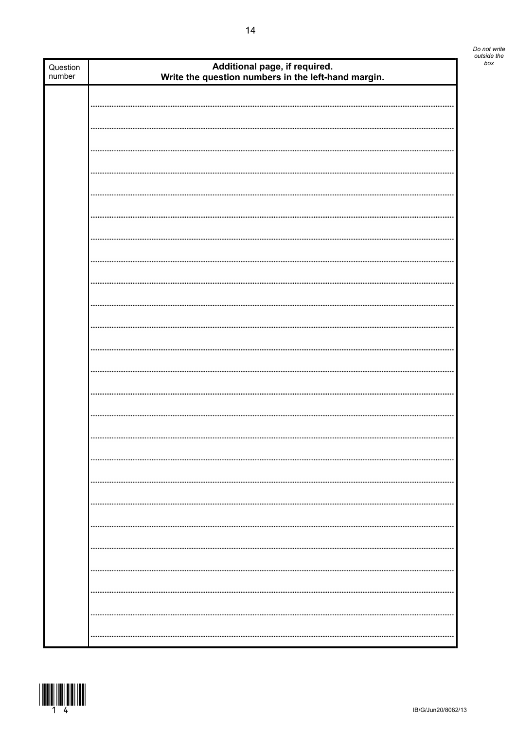| Question<br>number | Additional page, if required.<br>Write the question numbers in the left-hand margin. | box |
|--------------------|--------------------------------------------------------------------------------------|-----|
|                    |                                                                                      |     |
|                    |                                                                                      |     |
|                    |                                                                                      |     |
|                    |                                                                                      |     |
|                    |                                                                                      |     |
|                    |                                                                                      |     |
|                    |                                                                                      |     |
|                    |                                                                                      |     |
|                    |                                                                                      |     |
|                    |                                                                                      |     |
|                    |                                                                                      |     |
|                    |                                                                                      |     |
|                    |                                                                                      |     |
|                    |                                                                                      |     |
|                    |                                                                                      |     |
|                    |                                                                                      |     |
|                    |                                                                                      |     |
|                    |                                                                                      |     |
|                    |                                                                                      |     |
|                    |                                                                                      |     |
|                    |                                                                                      |     |
|                    |                                                                                      |     |
|                    |                                                                                      |     |
|                    |                                                                                      |     |
|                    |                                                                                      |     |
|                    |                                                                                      |     |
|                    |                                                                                      |     |
|                    |                                                                                      |     |
|                    |                                                                                      |     |
|                    |                                                                                      |     |
|                    |                                                                                      |     |
|                    |                                                                                      |     |
|                    |                                                                                      |     |
|                    |                                                                                      |     |
|                    |                                                                                      |     |
|                    |                                                                                      |     |
|                    |                                                                                      |     |
|                    |                                                                                      |     |
|                    |                                                                                      |     |
|                    |                                                                                      |     |

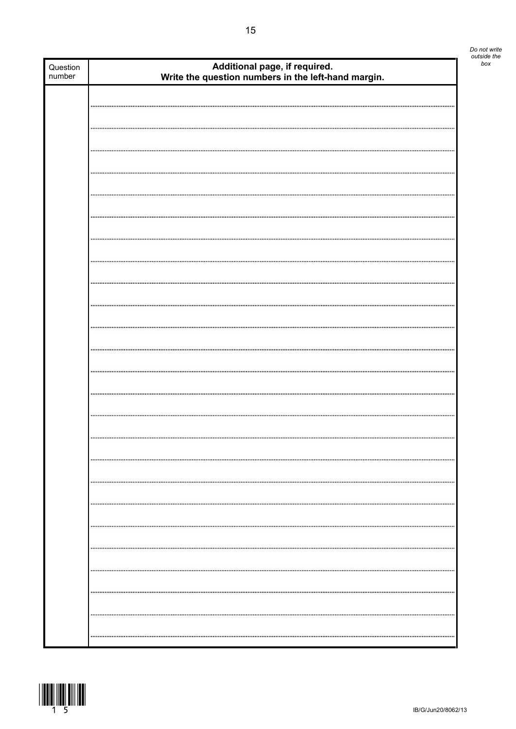|                    |                                                                                      | Do not write<br>outside the |
|--------------------|--------------------------------------------------------------------------------------|-----------------------------|
| Question<br>number | Additional page, if required.<br>Write the question numbers in the left-hand margin. | box                         |
|                    |                                                                                      |                             |
|                    |                                                                                      |                             |
|                    |                                                                                      |                             |
|                    |                                                                                      |                             |
|                    |                                                                                      |                             |
|                    |                                                                                      |                             |
|                    | <br>                                                                                 |                             |
|                    |                                                                                      |                             |
|                    |                                                                                      |                             |

| Question<br>number | Additional page, if required.<br>Write the question numbers in the left-hand margin. |
|--------------------|--------------------------------------------------------------------------------------|
|                    |                                                                                      |
|                    |                                                                                      |
|                    |                                                                                      |
|                    |                                                                                      |
|                    |                                                                                      |
|                    |                                                                                      |
|                    |                                                                                      |
|                    |                                                                                      |
|                    |                                                                                      |
|                    |                                                                                      |
|                    |                                                                                      |
|                    |                                                                                      |
|                    |                                                                                      |
|                    |                                                                                      |
|                    |                                                                                      |
|                    |                                                                                      |
|                    |                                                                                      |
|                    |                                                                                      |
|                    |                                                                                      |
|                    |                                                                                      |
|                    |                                                                                      |
|                    |                                                                                      |
|                    |                                                                                      |
|                    |                                                                                      |
|                    |                                                                                      |
|                    |                                                                                      |